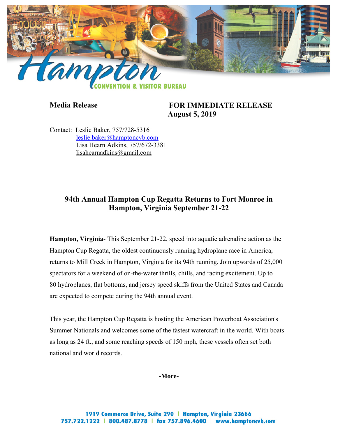

**Media Release FOR IMMEDIATE RELEASE August 5, 2019**

Contact: Leslie Baker, 757/728-5316 [leslie.baker@hamptoncvb.com](mailto:leslie.baker@hamptoncvb.com) Lisa Hearn Adkins, 757/672-3381 [lisahearnadkins@gmail.com](mailto:lisahearnadkins@gmail.com) 

# **94th Annual Hampton Cup Regatta Returns to Fort Monroe in Hampton, Virginia September 21-22**

**Hampton, Virginia**- This September 21-22, speed into aquatic adrenaline action as the Hampton Cup Regatta, the oldest continuously running hydroplane race in America, returns to Mill Creek in Hampton, Virginia for its 94th running. Join upwards of 25,000 spectators for a weekend of on-the-water thrills, chills, and racing excitement. Up to 80 hydroplanes, flat bottoms, and jersey speed skiffs from the United States and Canada are expected to compete during the 94th annual event.

This year, the Hampton Cup Regatta is hosting the American Powerboat Association's Summer Nationals and welcomes some of the fastest watercraft in the world. With boats as long as 24 ft., and some reaching speeds of 150 mph, these vessels often set both national and world records.

**-More-**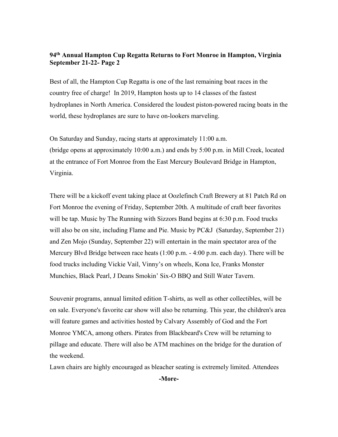### **94th Annual Hampton Cup Regatta Returns to Fort Monroe in Hampton, Virginia September 21-22- Page 2**

Best of all, the Hampton Cup Regatta is one of the last remaining boat races in the country free of charge! In 2019, Hampton hosts up to 14 classes of the fastest hydroplanes in North America. Considered the loudest piston-powered racing boats in the world, these hydroplanes are sure to have on-lookers marveling.

On Saturday and Sunday, racing starts at approximately 11:00 a.m. (bridge opens at approximately 10:00 a.m.) and ends by 5:00 p.m. in Mill Creek, located at the entrance of Fort Monroe from the East Mercury Boulevard Bridge in Hampton, Virginia.

There will be a kickoff event taking place at Oozlefinch Craft Brewery at 81 Patch Rd on Fort Monroe the evening of Friday, September 20th. A multitude of craft beer favorites will be tap. Music by The Running with Sizzors Band begins at 6:30 p.m. Food trucks will also be on site, including Flame and Pie. Music by PC&J (Saturday, September 21) and Zen Mojo (Sunday, September 22) will entertain in the main spectator area of the Mercury Blvd Bridge between race heats (1:00 p.m. - 4:00 p.m. each day). There will be food trucks including Vickie Vail, Vinny's on wheels, Kona Ice, Franks Monster Munchies, Black Pearl, J Deans Smokin' Six-O BBQ and Still Water Tavern.

Souvenir programs, annual limited edition T-shirts, as well as other collectibles, will be on sale. Everyone's favorite car show will also be returning. This year, the children's area will feature games and activities hosted by Calvary Assembly of God and the Fort Monroe YMCA, among others. Pirates from Blackbeard's Crew will be returning to pillage and educate. There will also be ATM machines on the bridge for the duration of the weekend.

Lawn chairs are highly encouraged as bleacher seating is extremely limited. Attendees

**-More-**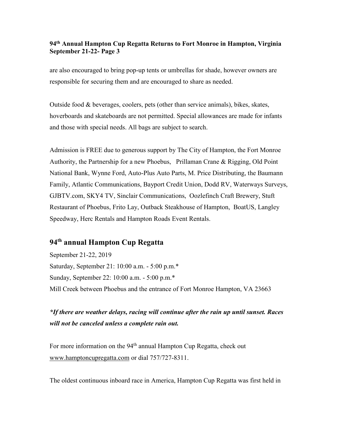#### **94th Annual Hampton Cup Regatta Returns to Fort Monroe in Hampton, Virginia September 21-22- Page 3**

are also encouraged to bring pop-up tents or umbrellas for shade, however owners are responsible for securing them and are encouraged to share as needed.

Outside food & beverages, coolers, pets (other than service animals), bikes, skates, hoverboards and skateboards are not permitted. Special allowances are made for infants and those with special needs. All bags are subject to search.

Admission is FREE due to generous support by The City of Hampton, the Fort Monroe Authority, the Partnership for a new Phoebus, Prillaman Crane & Rigging, Old Point National Bank, Wynne Ford, Auto-Plus Auto Parts, M. Price Distributing, the Baumann Family, Atlantic Communications, Bayport Credit Union, Dodd RV, Waterways Surveys, GJBTV.com, SKY4 TV, Sinclair Communications, Oozlefinch Craft Brewery, Stuft Restaurant of Phoebus, Frito Lay, Outback Steakhouse of Hampton, BoatUS, Langley Speedway, Herc Rentals and Hampton Roads Event Rentals.

# **94th annual Hampton Cup Regatta**

September 21-22, 2019 Saturday, September 21: 10:00 a.m. - 5:00 p.m.\* Sunday, September 22: 10:00 a.m. - 5:00 p.m.\* Mill Creek between Phoebus and the entrance of Fort Monroe Hampton, VA 23663

# *\*If there are weather delays, racing will continue after the rain up until sunset. Races will not be canceled unless a complete rain out.*

For more information on the 94<sup>th</sup> annual Hampton Cup Regatta, check out [www.hamptoncupregatta.com](http://www.hamptoncupregatta.com/) or dial 757/727-8311.

The oldest continuous inboard race in America, Hampton Cup Regatta was first held in